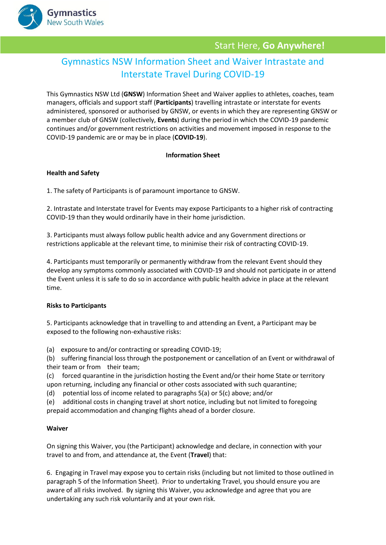

## Start Here, **Go Anywhere!**

# Gymnastics NSW Information Sheet and Waiver Intrastate and Interstate Travel During COVID-19

This Gymnastics NSW Ltd (**GNSW**) Information Sheet and Waiver applies to athletes, coaches, team managers, officials and support staff (**Participants**) travelling intrastate or interstate for events administered, sponsored or authorised by GNSW, or events in which they are representing GNSW or a member club of GNSW (collectively, **Events**) during the period in which the COVID-19 pandemic continues and/or government restrictions on activities and movement imposed in response to the COVID-19 pandemic are or may be in place (**COVID-19**).

#### **Information Sheet**

#### **Health and Safety**

1. The safety of Participants is of paramount importance to GNSW.

2. Intrastate and Interstate travel for Events may expose Participants to a higher risk of contracting COVID-19 than they would ordinarily have in their home jurisdiction.

3. Participants must always follow public health advice and any Government directions or restrictions applicable at the relevant time, to minimise their risk of contracting COVID-19.

4. Participants must temporarily or permanently withdraw from the relevant Event should they develop any symptoms commonly associated with COVID-19 and should not participate in or attend the Event unless it is safe to do so in accordance with public health advice in place at the relevant time.

#### **Risks to Participants**

5. Participants acknowledge that in travelling to and attending an Event, a Participant may be exposed to the following non-exhaustive risks:

(a) exposure to and/or contracting or spreading COVID-19;

(b) suffering financial loss through the postponement or cancellation of an Event or withdrawal of their team or from their team;

(c) forced quarantine in the jurisdiction hosting the Event and/or their home State or territory upon returning, including any financial or other costs associated with such quarantine;

(d) potential loss of income related to paragraphs 5(a) or 5(c) above; and/or

(e) additional costs in changing travel at short notice, including but not limited to foregoing prepaid accommodation and changing flights ahead of a border closure.

#### **Waiver**

On signing this Waiver, you (the Participant) acknowledge and declare, in connection with your travel to and from, and attendance at, the Event (**Travel**) that:

6. Engaging in Travel may expose you to certain risks (including but not limited to those outlined in paragraph 5 of the Information Sheet). Prior to undertaking Travel, you should ensure you are aware of all risks involved. By signing this Waiver, you acknowledge and agree that you are undertaking any such risk voluntarily and at your own risk.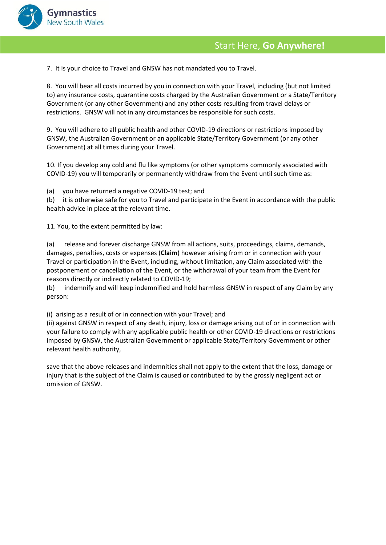

7. It is your choice to Travel and GNSW has not mandated you to Travel.

8. You will bear all costs incurred by you in connection with your Travel, including (but not limited to) any insurance costs, quarantine costs charged by the Australian Government or a State/Territory Government (or any other Government) and any other costs resulting from travel delays or restrictions. GNSW will not in any circumstances be responsible for such costs.

9. You will adhere to all public health and other COVID-19 directions or restrictions imposed by GNSW, the Australian Government or an applicable State/Territory Government (or any other Government) at all times during your Travel.

10. If you develop any cold and flu like symptoms (or other symptoms commonly associated with COVID-19) you will temporarily or permanently withdraw from the Event until such time as:

(a) you have returned a negative COVID-19 test; and

(b) it is otherwise safe for you to Travel and participate in the Event in accordance with the public health advice in place at the relevant time.

11. You, to the extent permitted by law:

(a) release and forever discharge GNSW from all actions, suits, proceedings, claims, demands, damages, penalties, costs or expenses (**Claim**) however arising from or in connection with your Travel or participation in the Event, including, without limitation, any Claim associated with the postponement or cancellation of the Event, or the withdrawal of your team from the Event for reasons directly or indirectly related to COVID-19;

(b) indemnify and will keep indemnified and hold harmless GNSW in respect of any Claim by any person:

(i) arising as a result of or in connection with your Travel; and

(ii) against GNSW in respect of any death, injury, loss or damage arising out of or in connection with your failure to comply with any applicable public health or other COVID-19 directions or restrictions imposed by GNSW, the Australian Government or applicable State/Territory Government or other relevant health authority,

save that the above releases and indemnities shall not apply to the extent that the loss, damage or injury that is the subject of the Claim is caused or contributed to by the grossly negligent act or omission of GNSW.